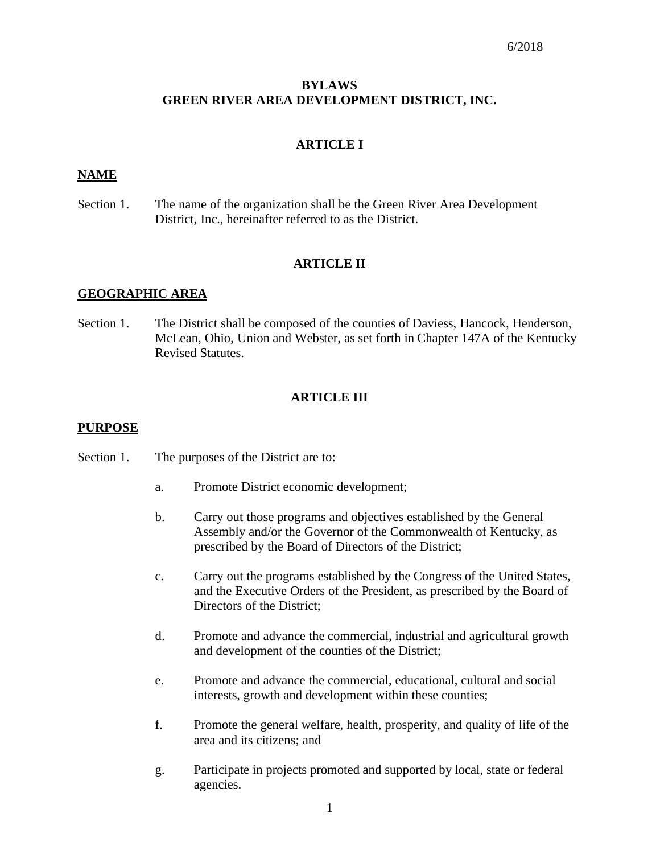# **BYLAWS GREEN RIVER AREA DEVELOPMENT DISTRICT, INC.**

# **ARTICLE I**

# **NAME**

Section 1. The name of the organization shall be the Green River Area Development District, Inc., hereinafter referred to as the District.

# **ARTICLE II**

# **GEOGRAPHIC AREA**

Section 1. The District shall be composed of the counties of Daviess, Hancock, Henderson, McLean, Ohio, Union and Webster, as set forth in Chapter 147A of the Kentucky Revised Statutes.

# **ARTICLE III**

# **PURPOSE**

- Section 1. The purposes of the District are to:
	- a. Promote District economic development;
	- b. Carry out those programs and objectives established by the General Assembly and/or the Governor of the Commonwealth of Kentucky, as prescribed by the Board of Directors of the District;
	- c. Carry out the programs established by the Congress of the United States, and the Executive Orders of the President, as prescribed by the Board of Directors of the District;
	- d. Promote and advance the commercial, industrial and agricultural growth and development of the counties of the District;
	- e. Promote and advance the commercial, educational, cultural and social interests, growth and development within these counties;
	- f. Promote the general welfare, health, prosperity, and quality of life of the area and its citizens; and
	- g. Participate in projects promoted and supported by local, state or federal agencies.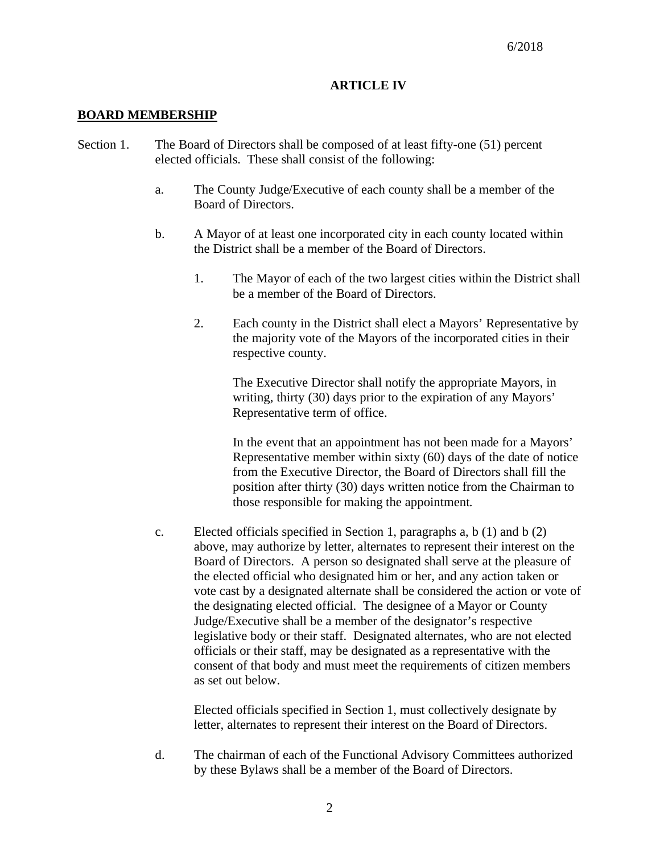# **ARTICLE IV**

# **BOARD MEMBERSHIP**

- Section 1. The Board of Directors shall be composed of at least fifty-one (51) percent elected officials. These shall consist of the following:
	- a. The County Judge/Executive of each county shall be a member of the Board of Directors.
	- b. A Mayor of at least one incorporated city in each county located within the District shall be a member of the Board of Directors.
		- 1. The Mayor of each of the two largest cities within the District shall be a member of the Board of Directors.
		- 2. Each county in the District shall elect a Mayors' Representative by the majority vote of the Mayors of the incorporated cities in their respective county.

The Executive Director shall notify the appropriate Mayors, in writing, thirty (30) days prior to the expiration of any Mayors' Representative term of office.

In the event that an appointment has not been made for a Mayors' Representative member within sixty (60) days of the date of notice from the Executive Director, the Board of Directors shall fill the position after thirty (30) days written notice from the Chairman to those responsible for making the appointment.

c. Elected officials specified in Section 1, paragraphs a, b (1) and b (2) above, may authorize by letter, alternates to represent their interest on the Board of Directors. A person so designated shall serve at the pleasure of the elected official who designated him or her, and any action taken or vote cast by a designated alternate shall be considered the action or vote of the designating elected official. The designee of a Mayor or County Judge/Executive shall be a member of the designator's respective legislative body or their staff. Designated alternates, who are not elected officials or their staff, may be designated as a representative with the consent of that body and must meet the requirements of citizen members as set out below.

Elected officials specified in Section 1, must collectively designate by letter, alternates to represent their interest on the Board of Directors.

d. The chairman of each of the Functional Advisory Committees authorized by these Bylaws shall be a member of the Board of Directors.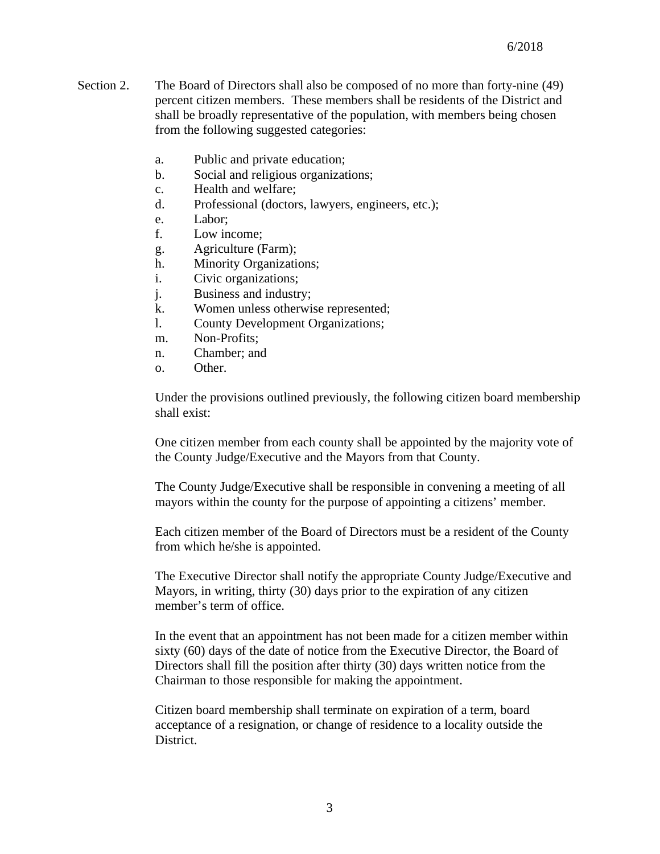- Section 2. The Board of Directors shall also be composed of no more than forty-nine (49) percent citizen members. These members shall be residents of the District and shall be broadly representative of the population, with members being chosen from the following suggested categories:
	- a. Public and private education;
	- b. Social and religious organizations;
	- c. Health and welfare;
	- d. Professional (doctors, lawyers, engineers, etc.);
	- e. Labor;
	- f. Low income;
	- g. Agriculture (Farm);
	- h. Minority Organizations;
	- i. Civic organizations;
	- j. Business and industry;
	- k. Women unless otherwise represented;
	- l. County Development Organizations;
	- m. Non-Profits;
	- n. Chamber; and
	- o. Other.

Under the provisions outlined previously, the following citizen board membership shall exist:

One citizen member from each county shall be appointed by the majority vote of the County Judge/Executive and the Mayors from that County.

The County Judge/Executive shall be responsible in convening a meeting of all mayors within the county for the purpose of appointing a citizens' member.

Each citizen member of the Board of Directors must be a resident of the County from which he/she is appointed.

The Executive Director shall notify the appropriate County Judge/Executive and Mayors, in writing, thirty (30) days prior to the expiration of any citizen member's term of office.

In the event that an appointment has not been made for a citizen member within sixty (60) days of the date of notice from the Executive Director, the Board of Directors shall fill the position after thirty (30) days written notice from the Chairman to those responsible for making the appointment.

Citizen board membership shall terminate on expiration of a term, board acceptance of a resignation, or change of residence to a locality outside the District.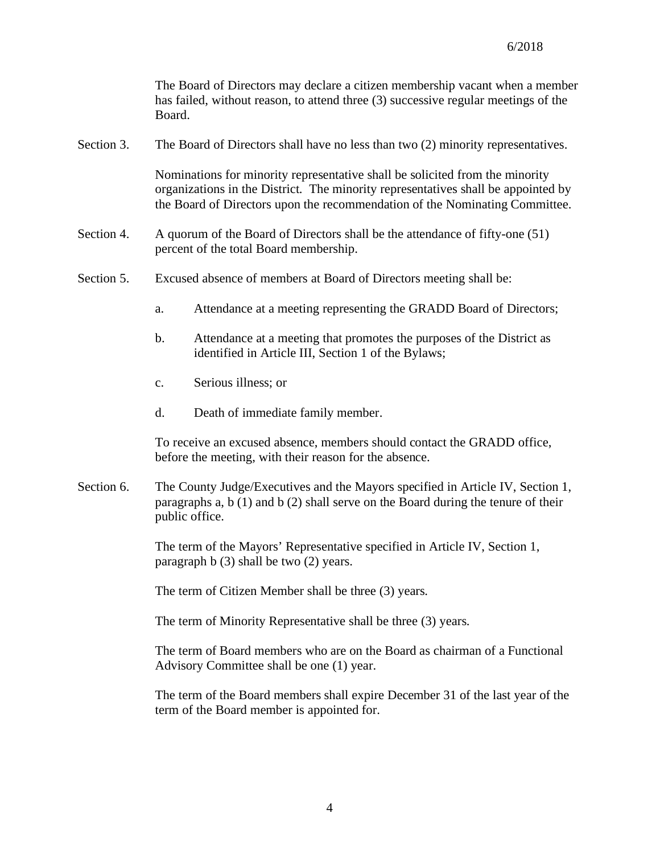The Board of Directors may declare a citizen membership vacant when a member has failed, without reason, to attend three (3) successive regular meetings of the Board.

Section 3. The Board of Directors shall have no less than two (2) minority representatives.

Nominations for minority representative shall be solicited from the minority organizations in the District. The minority representatives shall be appointed by the Board of Directors upon the recommendation of the Nominating Committee.

- Section 4. A quorum of the Board of Directors shall be the attendance of fifty-one (51) percent of the total Board membership.
- Section 5. Excused absence of members at Board of Directors meeting shall be:
	- a. Attendance at a meeting representing the GRADD Board of Directors;
	- b. Attendance at a meeting that promotes the purposes of the District as identified in Article III, Section 1 of the Bylaws;
	- c. Serious illness; or
	- d. Death of immediate family member.

To receive an excused absence, members should contact the GRADD office, before the meeting, with their reason for the absence.

Section 6. The County Judge/Executives and the Mayors specified in Article IV, Section 1, paragraphs a,  $b(1)$  and  $b(2)$  shall serve on the Board during the tenure of their public office.

> The term of the Mayors' Representative specified in Article IV, Section 1, paragraph b (3) shall be two (2) years.

The term of Citizen Member shall be three (3) years.

The term of Minority Representative shall be three (3) years.

The term of Board members who are on the Board as chairman of a Functional Advisory Committee shall be one (1) year.

The term of the Board members shall expire December 31 of the last year of the term of the Board member is appointed for.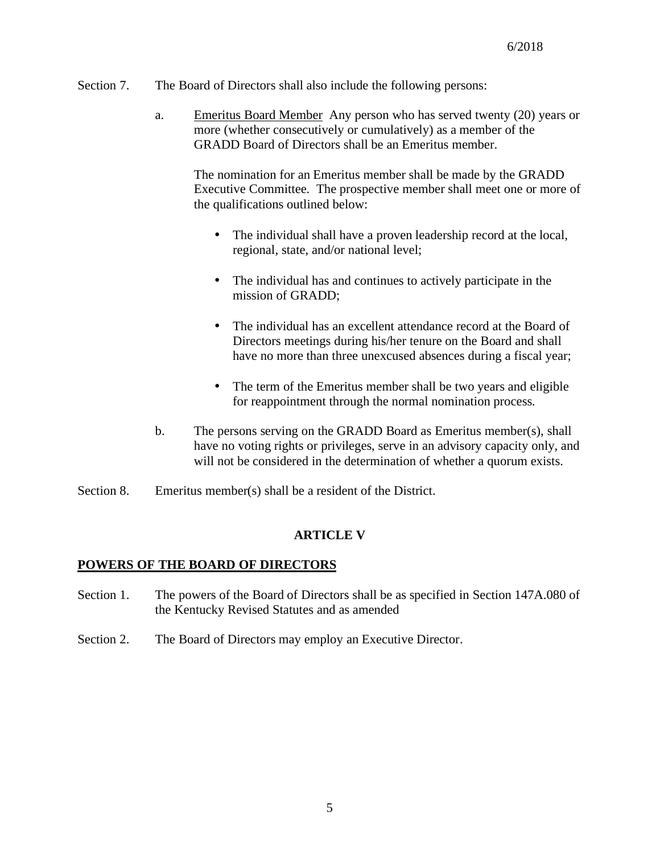- Section 7. The Board of Directors shall also include the following persons:
	- a. Emeritus Board Member Any person who has served twenty (20) years or more (whether consecutively or cumulatively) as a member of the GRADD Board of Directors shall be an Emeritus member.

The nomination for an Emeritus member shall be made by the GRADD Executive Committee. The prospective member shall meet one or more of the qualifications outlined below:

- t, The individual shall have a proven leadership record at the local, regional, state, and/or national level;
- The individual has and continues to actively participate in the ä, mission of GRADD;
- The individual has an excellent attendance record at the Board of ¥. Directors meetings during his/her tenure on the Board and shall have no more than three unexcused absences during a fiscal year;
- k, The term of the Emeritus member shall be two years and eligible for reappointment through the normal nomination process.
- b. The persons serving on the GRADD Board as Emeritus member(s), shall have no voting rights or privileges, serve in an advisory capacity only, and will not be considered in the determination of whether a quorum exists.
- Section 8. Emeritus member(s) shall be a resident of the District.

# **ARTICLE V**

# **POWERS OF THE BOARD OF DIRECTORS**

- Section 1. The powers of the Board of Directors shall be as specified in Section 147A.080 of the Kentucky Revised Statutes and as amended
- Section 2. The Board of Directors may employ an Executive Director.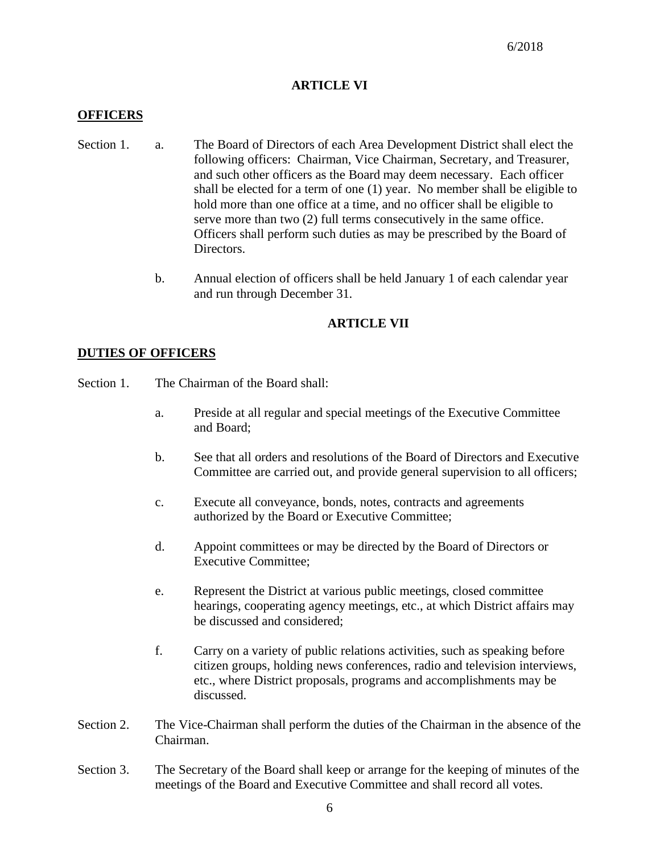# **ARTICLE VI**

### **OFFICERS**

- Section 1. a. The Board of Directors of each Area Development District shall elect the following officers: Chairman, Vice Chairman, Secretary, and Treasurer, and such other officers as the Board may deem necessary. Each officer shall be elected for a term of one (1) year. No member shall be eligible to hold more than one office at a time, and no officer shall be eligible to serve more than two (2) full terms consecutively in the same office. Officers shall perform such duties as may be prescribed by the Board of Directors.
	- b. Annual election of officers shall be held January 1 of each calendar year and run through December 31.

# **ARTICLE VII**

#### **DUTIES OF OFFICERS**

- Section 1. The Chairman of the Board shall:
	- a. Preside at all regular and special meetings of the Executive Committee and Board;
	- b. See that all orders and resolutions of the Board of Directors and Executive Committee are carried out, and provide general supervision to all officers;
	- c. Execute all conveyance, bonds, notes, contracts and agreements authorized by the Board or Executive Committee;
	- d. Appoint committees or may be directed by the Board of Directors or Executive Committee;
	- e. Represent the District at various public meetings, closed committee hearings, cooperating agency meetings, etc., at which District affairs may be discussed and considered;
	- f. Carry on a variety of public relations activities, such as speaking before citizen groups, holding news conferences, radio and television interviews, etc., where District proposals, programs and accomplishments may be discussed.
- Section 2. The Vice-Chairman shall perform the duties of the Chairman in the absence of the Chairman.
- Section 3. The Secretary of the Board shall keep or arrange for the keeping of minutes of the meetings of the Board and Executive Committee and shall record all votes.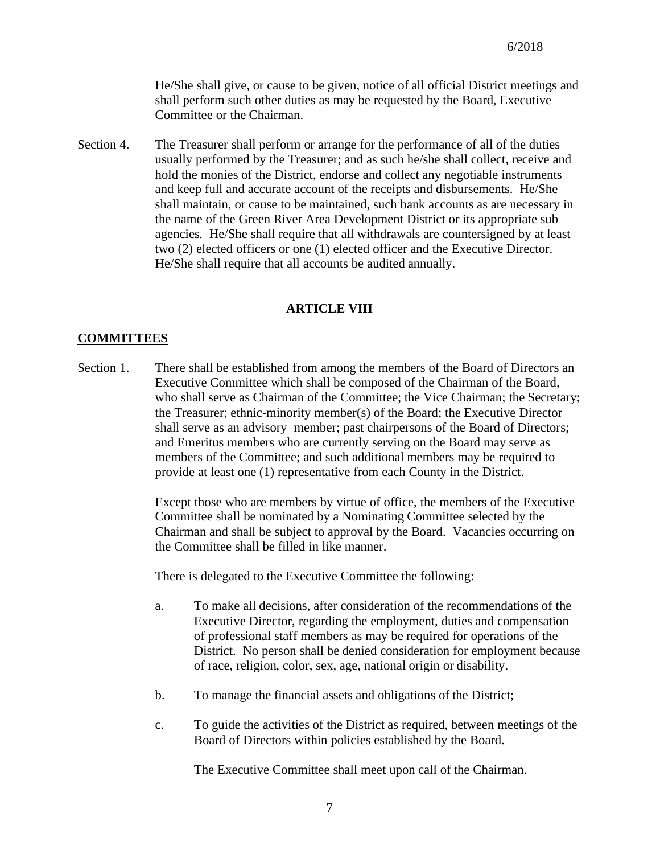He/She shall give, or cause to be given, notice of all official District meetings and shall perform such other duties as may be requested by the Board, Executive Committee or the Chairman.

Section 4. The Treasurer shall perform or arrange for the performance of all of the duties usually performed by the Treasurer; and as such he/she shall collect, receive and hold the monies of the District, endorse and collect any negotiable instruments and keep full and accurate account of the receipts and disbursements. He/She shall maintain, or cause to be maintained, such bank accounts as are necessary in the name of the Green River Area Development District or its appropriate sub agencies. He/She shall require that all withdrawals are countersigned by at least two (2) elected officers or one (1) elected officer and the Executive Director. He/She shall require that all accounts be audited annually.

# **ARTICLE VIII**

# **COMMITTEES**

Section 1. There shall be established from among the members of the Board of Directors an Executive Committee which shall be composed of the Chairman of the Board, who shall serve as Chairman of the Committee; the Vice Chairman; the Secretary; the Treasurer; ethnic-minority member(s) of the Board; the Executive Director shall serve as an advisory member; past chairpersons of the Board of Directors; and Emeritus members who are currently serving on the Board may serve as members of the Committee; and such additional members may be required to provide at least one (1) representative from each County in the District.

> Except those who are members by virtue of office, the members of the Executive Committee shall be nominated by a Nominating Committee selected by the Chairman and shall be subject to approval by the Board. Vacancies occurring on the Committee shall be filled in like manner.

There is delegated to the Executive Committee the following:

- a. To make all decisions, after consideration of the recommendations of the Executive Director, regarding the employment, duties and compensation of professional staff members as may be required for operations of the District. No person shall be denied consideration for employment because of race, religion, color, sex, age, national origin or disability.
- b. To manage the financial assets and obligations of the District;
- c. To guide the activities of the District as required, between meetings of the Board of Directors within policies established by the Board.

The Executive Committee shall meet upon call of the Chairman.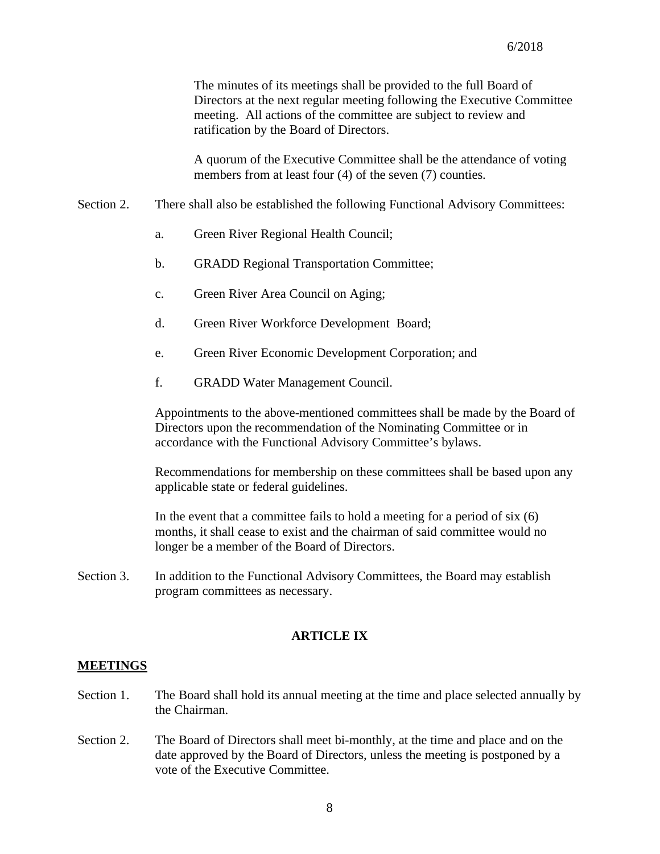The minutes of its meetings shall be provided to the full Board of Directors at the next regular meeting following the Executive Committee meeting. All actions of the committee are subject to review and ratification by the Board of Directors.

A quorum of the Executive Committee shall be the attendance of voting members from at least four (4) of the seven (7) counties.

- Section 2. There shall also be established the following Functional Advisory Committees:
	- a. Green River Regional Health Council;
	- b. GRADD Regional Transportation Committee;
	- c. Green River Area Council on Aging;
	- d. Green River Workforce Development Board;
	- e. Green River Economic Development Corporation; and
	- f. GRADD Water Management Council.

Appointments to the above-mentioned committees shall be made by the Board of Directors upon the recommendation of the Nominating Committee or in accordance with the Functional Advisory Committee's bylaws.

Recommendations for membership on these committees shall be based upon any applicable state or federal guidelines.

In the event that a committee fails to hold a meeting for a period of six (6) months, it shall cease to exist and the chairman of said committee would no longer be a member of the Board of Directors.

Section 3. In addition to the Functional Advisory Committees, the Board may establish program committees as necessary.

# **ARTICLE IX**

#### **MEETINGS**

- Section 1. The Board shall hold its annual meeting at the time and place selected annually by the Chairman.
- Section 2. The Board of Directors shall meet bi-monthly, at the time and place and on the date approved by the Board of Directors, unless the meeting is postponed by a vote of the Executive Committee.